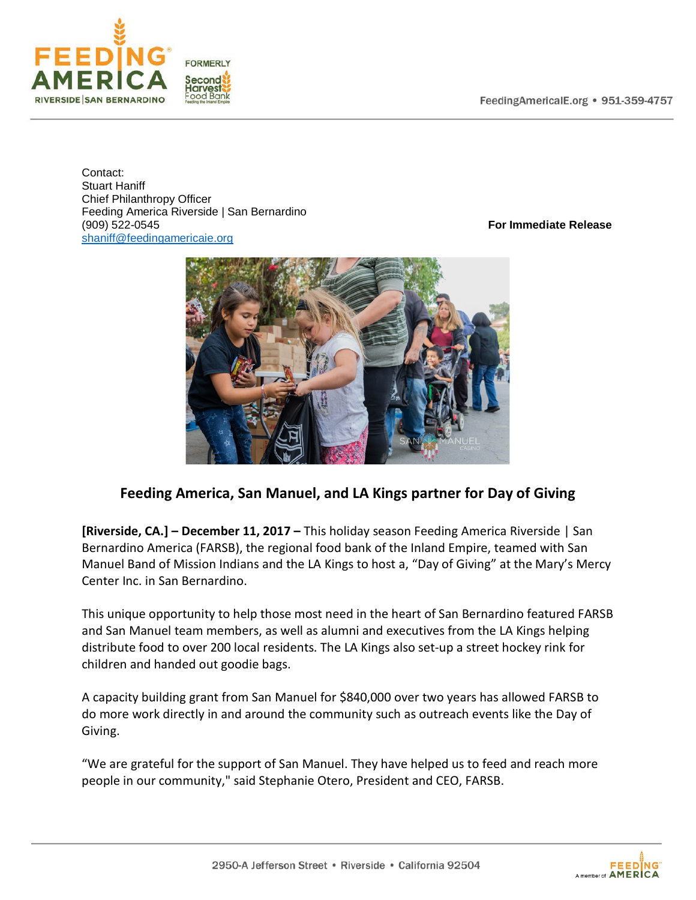

Contact: Stuart Haniff Chief Philanthropy Officer Feeding America Riverside | San Bernardino (909) 522-0545 **For Immediate Release** [shaniff@feedingamericaie.org](mailto:shaniff@feedingamericaie.org) 



## **Feeding America, San Manuel, and LA Kings partner for Day of Giving**

**[Riverside, CA.] – December 11, 2017 –** This holiday season Feeding America Riverside | San Bernardino America (FARSB), the regional food bank of the Inland Empire, teamed with San Manuel Band of Mission Indians and the LA Kings to host a, "Day of Giving" at the Mary's Mercy Center Inc. in San Bernardino.

This unique opportunity to help those most need in the heart of San Bernardino featured FARSB and San Manuel team members, as well as alumni and executives from the LA Kings helping distribute food to over 200 local residents. The LA Kings also set-up a street hockey rink for children and handed out goodie bags.

A capacity building grant from San Manuel for \$840,000 over two years has allowed FARSB to do more work directly in and around the community such as outreach events like the Day of Giving.

"We are grateful for the support of San Manuel. They have helped us to feed and reach more people in our community," said Stephanie Otero, President and CEO, FARSB.